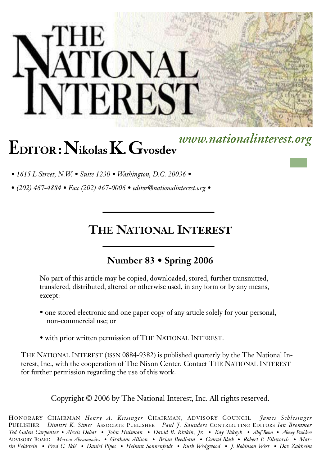# ONA **TEREST**

# $E_{\text{DITOR}}$ : Nikolas **K**. Gvosdev

- *1615 L Street, N.W. Suite 1230 Washington, D.C. 20036*
- *(202) 467-4884 Fax (202) 467-0006 editor@nationalinterest.org*

# **The National Interest**

## **Number 83 • Spring 2006**

No part of this article may be copied, downloaded, stored, further transmitted, transfered, distributed, altered or otherwise used, in any form or by any means, except:

- one stored electronic and one paper copy of any article solely for your personal, non-commercial use; or
- with prior written permission of THE NATIONAL INTEREST.

The National Interest (issn 0884-9382) is published quarterly by the The National Interest, Inc., with the cooperation of The Nixon Center. Contact THE NATIONAL INTEREST for further permission regarding the use of this work.

Copyright © 2006 by The National Interest, Inc. All rights reserved.

Honorary Chairman *Henry A. Kissinger* Chairman, Advisory Council *James Schlesinger* Publisher *Dimitri K. Simes* Associate Publisher *Paul J. Saunders* Contributing Editors *Ian Bremmer Ted Galen Carpenter • Alexis Debat • John Hulsman • David B. Rivkin, Jr. • Ray Takeyh • Aluf Benn • Alexey Pushkov* Advisory Board *Morton Abramowitz • Graham Allison • Brian Beedham • Conrad Black • Robert F. Ellsworth • Martin Feldstein • Fred C. Iklé • Daniel Pipes • Helmut Sonnenfeldt • Ruth Wedgwood • J. Robinson West • Dov Zakheim*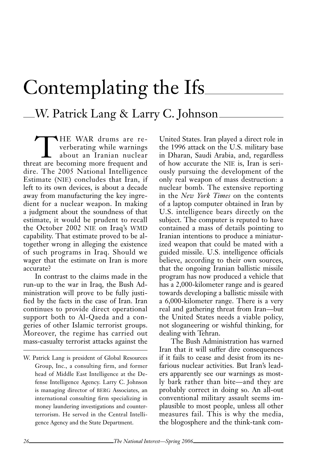# Contemplating the Ifs

# \_W. Patrick Lang & Larry C. Johnson\_

THE WAR drums are re-<br>
verberating while warnings<br>
about an Iranian nuclear<br>
at are becoming more frequent and verberating while warnings threat are becoming more frequent and dire. The 2005 National Intelligence Estimate (NIE) concludes that Iran, if left to its own devices, is about a decade away from manufacturing the key ingredient for a nuclear weapon. In making a judgment about the soundness of that estimate, it would be prudent to recall the October 2002 NIE on Iraq's WMD capability. That estimate proved to be altogether wrong in alleging the existence of such programs in Iraq. Should we wager that the estimate on Iran is more accurate?

In contrast to the claims made in the run-up to the war in Iraq, the Bush Administration will prove to be fully justified by the facts in the case of Iran. Iran continues to provide direct operational support both to Al-Qaeda and a congeries of other Islamic terrorist groups. Moreover, the regime has carried out mass-casualty terrorist attacks against the

W. Patrick Lang is president of Global Resources Group, Inc., a consulting firm, and former head of Middle East Intelligence at the Defense Intelligence Agency. Larry C. Johnson is managing director of BERG Associates, an international consulting firm specializing in money laundering investigations and counterterrorism. He served in the Central Intelligence Agency and the State Department.

United States. Iran played a direct role in the 1996 attack on the U.S. military base in Dharan, Saudi Arabia, and, regardless of how accurate the NIE is, Iran is seriously pursuing the development of the only real weapon of mass destruction: a nuclear bomb. The extensive reporting in the *New York Times* on the contents of a laptop computer obtained in Iran by U.S. intelligence bears directly on the subject. The computer is reputed to have contained a mass of details pointing to Iranian intentions to produce a miniaturized weapon that could be mated with a guided missile. U.S. intelligence officials believe, according to their own sources, that the ongoing Iranian ballistic missile program has now produced a vehicle that has a 2,000-kilometer range and is geared towards developing a ballistic missile with a 6,000-kilometer range. There is a very real and gathering threat from Iran—but the United States needs a viable policy, not sloganeering or wishful thinking, for dealing with Tehran.

The Bush Administration has warned Iran that it will suffer dire consequences if it fails to cease and desist from its nefarious nuclear activities. But Iran's leaders apparently see our warnings as mostly bark rather than bite—and they are probably correct in doing so. An all-out conventional military assault seems implausible to most people, unless all other measures fail. This is why the media, the blogosphere and the think-tank com-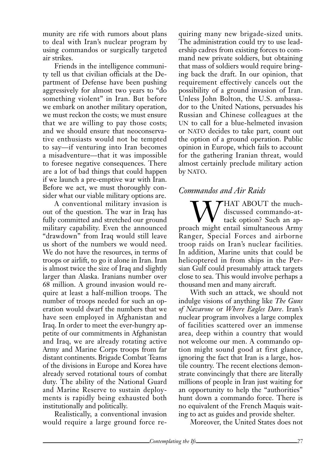munity are rife with rumors about plans to deal with Iran's nuclear program by using commandos or surgically targeted air strikes.

Friends in the intelligence community tell us that civilian officials at the Department of Defense have been pushing aggressively for almost two years to "do something violent" in Iran. But before we embark on another military operation, we must reckon the costs; we must ensure that we are willing to pay those costs; and we should ensure that neoconservative enthusiasts would not be tempted to say—if venturing into Iran becomes a misadventure—that it was impossible to foresee negative consequences. There are a lot of bad things that could happen if we launch a pre-emptive war with Iran. Before we act, we must thoroughly consider what our viable military options are.

A conventional military invasion is out of the question. The war in Iraq has fully committed and stretched our ground military capability. Even the announced "drawdown" from Iraq would still leave us short of the numbers we would need. We do not have the resources, in terms of troops or airlift, to go it alone in Iran. Iran is almost twice the size of Iraq and slightly larger than Alaska. Iranians number over 68 million. A ground invasion would require at least a half-million troops. The number of troops needed for such an operation would dwarf the numbers that we have seen employed in Afghanistan and Iraq. In order to meet the ever-hungry appetite of our commitments in Afghanistan and Iraq, we are already rotating active Army and Marine Corps troops from far distant continents. Brigade Combat Teams of the divisions in Europe and Korea have already served rotational tours of combat duty. The ability of the National Guard and Marine Reserve to sustain deployments is rapidly being exhausted both institutionally and politically.

Realistically, a conventional invasion would require a large ground force requiring many new brigade-sized units. The administration could try to use leadership cadres from existing forces to command new private soldiers, but obtaining that mass of soldiers would require bringing back the draft. In our opinion, that requirement effectively cancels out the possibility of a ground invasion of Iran. Unless John Bolton, the U.S. ambassador to the United Nations, persuades his Russian and Chinese colleagues at the un to call for a blue-helmeted invasion or NATO decides to take part, count out the option of a ground operation. Public opinion in Europe, which fails to account for the gathering Iranian threat, would almost certainly preclude military action by NATO.

## *Commandos and Air Raids*

WHAT ABOUT the much-<br>tack option? Such an ap-<br>ech might entail simultaneous Army discussed commando-attack option? Such an approach might entail simultaneous Army Ranger, Special Forces and airborne troop raids on Iran's nuclear facilities. In addition, Marine units that could be helicoptered in from ships in the Persian Gulf could presumably attack targets close to sea. This would involve perhaps a thousand men and many aircraft.

With such an attack, we should not indulge visions of anything like *The Guns of Navarone* or *Where Eagles Dare*. Iran's nuclear program involves a large complex of facilities scattered over an immense area, deep within a country that would not welcome our men. A commando option might sound good at first glance, ignoring the fact that Iran is a large, hostile country. The recent elections demonstrate convincingly that there are literally millions of people in Iran just waiting for an opportunity to help the "authorities" hunt down a commando force. There is no equivalent of the French Maquis waiting to act as guides and provide shelter.

Moreover, the United States does not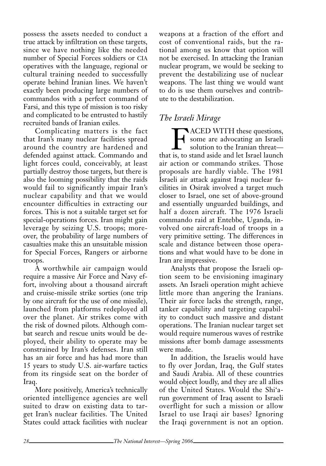possess the assets needed to conduct a true attack by infiltration on these targets, since we have nothing like the needed number of Special Forces soldiers or cia operatives with the language, regional or cultural training needed to successfully operate behind Iranian lines. We haven't exactly been producing large numbers of commandos with a perfect command of Farsi, and this type of mission is too risky and complicated to be entrusted to hastily recruited bands of Iranian exiles.

Complicating matters is the fact that Iran's many nuclear facilities spread around the country are hardened and defended against attack. Commando and light forces could, conceivably, at least partially destroy those targets, but there is also the looming possibility that the raids would fail to significantly impair Iran's nuclear capability and that we would encounter difficulties in extracting our forces. This is not a suitable target set for special-operations forces. Iran might gain leverage by seizing U.S. troops; moreover, the probability of large numbers of casualties make this an unsuitable mission for Special Forces, Rangers or airborne troops.

A worthwhile air campaign would require a massive Air Force and Navy effort, involving about a thousand aircraft and cruise-missile strike sorties (one trip by one aircraft for the use of one missile), launched from platforms redeployed all over the planet. Air strikes come with the risk of downed pilots. Although combat search and rescue units would be deployed, their ability to operate may be constrained by Iran's defenses. Iran still has an air force and has had more than 15 years to study U.S. air-warfare tactics from its ringside seat on the border of Iraq.

More positively, America's technically oriented intelligence agencies are well suited to draw on existing data to target Iran's nuclear facilities. The United States could attack facilities with nuclear

weapons at a fraction of the effort and cost of conventional raids, but the rational among us know that option will not be exercised. In attacking the Iranian nuclear program, we would be seeking to prevent the destabilizing use of nuclear weapons. The last thing we would want to do is use them ourselves and contribute to the destabilization.

#### *The Israeli Mirage*

ACED WITH these questions,<br>some are advocating an Israeli<br>solution to the Iranian threat—<br>is to stand aside and let Israel launch some are advocating an Israeli solution to the Iranian threat that is, to stand aside and let Israel launch air action or commando strikes. Those proposals are hardly viable. The 1981 Israeli air attack against Iraqi nuclear facilities in Osirak involved a target much closer to Israel, one set of above-ground and essentially unguarded buildings, and half a dozen aircraft. The 1976 Israeli commando raid at Entebbe, Uganda, involved one aircraft-load of troops in a very primitive setting. The differences in scale and distance between those operations and what would have to be done in Iran are impressive.

Analysts that propose the Israeli option seem to be envisioning imaginary assets. An Israeli operation might achieve little more than angering the Iranians. Their air force lacks the strength, range, tanker capability and targeting capability to conduct such massive and distant operations. The Iranian nuclear target set would require numerous waves of restrike missions after bomb damage assessments were made.

In addition, the Israelis would have to fly over Jordan, Iraq, the Gulf states and Saudi Arabia. All of these countries would object loudly, and they are all allies of the United States. Would the Shi'arun government of Iraq assent to Israeli overflight for such a mission or allow Israel to use Iraqi air bases? Ignoring the Iraqi government is not an option.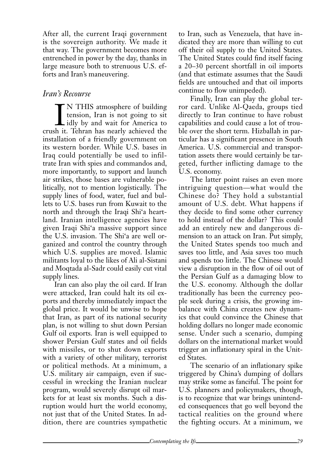After all, the current Iraqi government is the sovereign authority. We made it that way. The government becomes more entrenched in power by the day, thanks in large measure both to strenuous U.S. efforts and Iran's maneuvering.

### *Iran's Recourse*

IN THIS atmosphere of building<br>tension, Iran is not going to sit<br>idly by and wait for America to<br>their Tehran has nearly achieved the N THIS atmosphere of building tension, Iran is not going to sit crush it. Tehran has nearly achieved the installation of a friendly government on its western border. While U.S. bases in Iraq could potentially be used to infiltrate Iran with spies and commandos and, more importantly, to support and launch air strikes, those bases are vulnerable politically, not to mention logistically. The supply lines of food, water, fuel and bullets to U.S. bases run from Kuwait to the north and through the Iraqi Shi'a heartland. Iranian intelligence agencies have given Iraqi Shi'a massive support since the U.S. invasion. The Shi'a are well organized and control the country through which U.S. supplies are moved. Islamic militants loyal to the likes of Ali al-Sistani and Moqtada al-Sadr could easily cut vital supply lines.

Iran can also play the oil card. If Iran were attacked, Iran could halt its oil exports and thereby immediately impact the global price. It would be unwise to hope that Iran, as part of its national security plan, is not willing to shut down Persian Gulf oil exports. Iran is well equipped to shower Persian Gulf states and oil fields with missiles, or to shut down exports with a variety of other military, terrorist or political methods. At a minimum, a U.S. military air campaign, even if successful in wrecking the Iranian nuclear program, would severely disrupt oil markets for at least six months. Such a disruption would hurt the world economy, not just that of the United States. In addition, there are countries sympathetic

to Iran, such as Venezuela, that have indicated they are more than willing to cut off their oil supply to the United States. The United States could find itself facing a 20–30 percent shortfall in oil imports (and that estimate assumes that the Saudi fields are untouched and that oil imports continue to flow unimpeded).

Finally, Iran can play the global terror card. Unlike Al-Qaeda, groups tied directly to Iran continue to have robust capabilities and could cause a lot of trouble over the short term. Hizballah in particular has a significant presence in South America. U.S. commercial and transportation assets there would certainly be targeted, further inflicting damage to the U.S. economy.

The latter point raises an even more intriguing question—what would the Chinese do? They hold a substantial amount of U.S. debt. What happens if they decide to find some other currency to hold instead of the dollar? This could add an entirely new and dangerous dimension to an attack on Iran. Put simply, the United States spends too much and saves too little, and Asia saves too much and spends too little. The Chinese would view a disruption in the flow of oil out of the Persian Gulf as a damaging blow to the U.S. economy. Although the dollar traditionally has been the currency people seek during a crisis, the growing imbalance with China creates new dynamics that could convince the Chinese that holding dollars no longer made economic sense. Under such a scenario, dumping dollars on the international market would trigger an inflationary spiral in the United States.

The scenario of an inflationary spike triggered by China's dumping of dollars may strike some as fanciful. The point for U.S. planners and policymakers, though, is to recognize that war brings unintended consequences that go well beyond the tactical realities on the ground where the fighting occurs. At a minimum, we